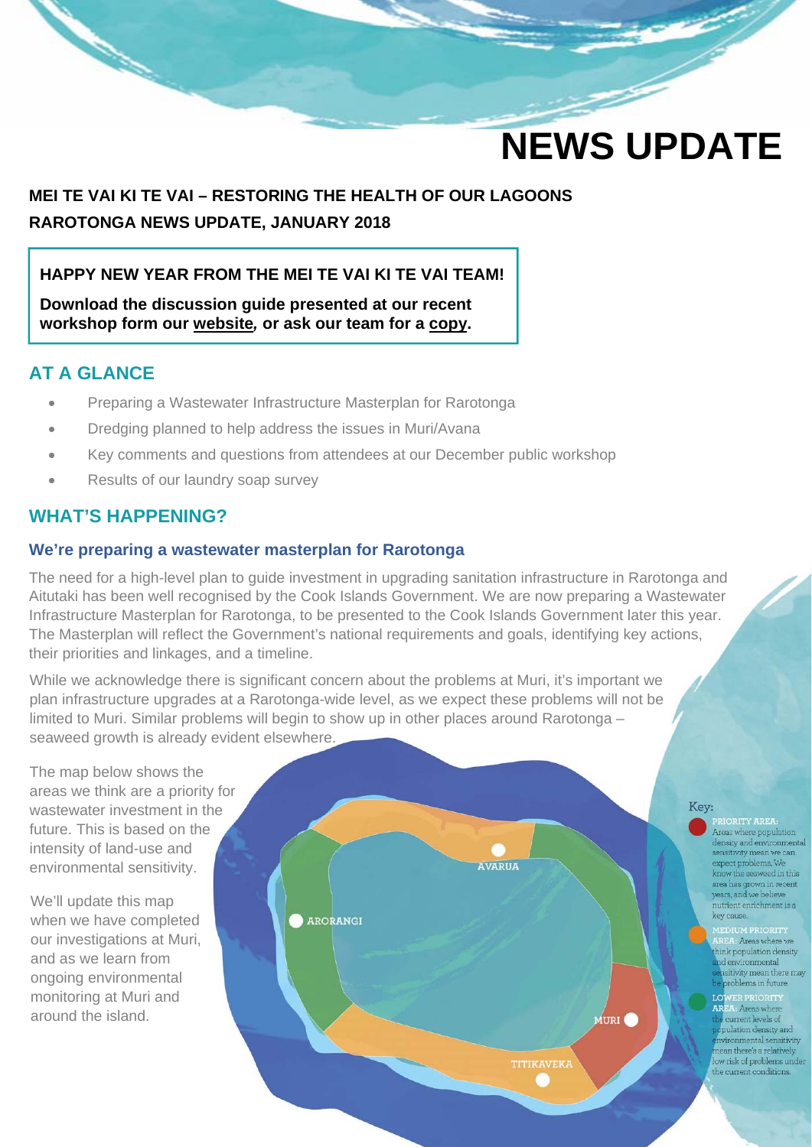# **NEWS UPDATE**

## **MEI TE VAI KI TE VAI – RESTORING THE HEALTH OF OUR LAGOONS RAROTONGA NEWS UPDATE, JANUARY 2018**

### **HAPPY NEW YEAR FROM THE MEI TE VAI KI TE VAI TEAM!**

**Download the discussion guide presented at our recent workshop form our website***,* **or ask our team for a copy.** 

## **AT A GLANCE**

- Preparing a Wastewater Infrastructure Masterplan for Rarotonga
- Dredging planned to help address the issues in Muri/Avana
- Key comments and questions from attendees at our December public workshop
- Results of our laundry soap survey

## **WHAT'S HAPPENING?**

#### **We're preparing a wastewater masterplan for Rarotonga**

The need for a high-level plan to guide investment in upgrading sanitation infrastructure in Rarotonga and Aitutaki has been well recognised by the Cook Islands Government. We are now preparing a Wastewater Infrastructure Masterplan for Rarotonga, to be presented to the Cook Islands Government later this year. The Masterplan will reflect the Government's national requirements and goals, identifying key actions, their priorities and linkages, and a timeline.

While we acknowledge there is significant concern about the problems at Muri, it's important we plan infrastructure upgrades at a Rarotonga-wide level, as we expect these problems will not be limited to Muri. Similar problems will begin to show up in other places around Rarotonga – seaweed growth is already evident elsewhere.

The map below shows the areas we think are a priority for wastewater investment in the future. This is based on the intensity of land-use and environmental sensitivity.

We'll update this map when we have completed our investigations at Muri, and as we learn from ongoing environmental monitoring at Muri and around the island.